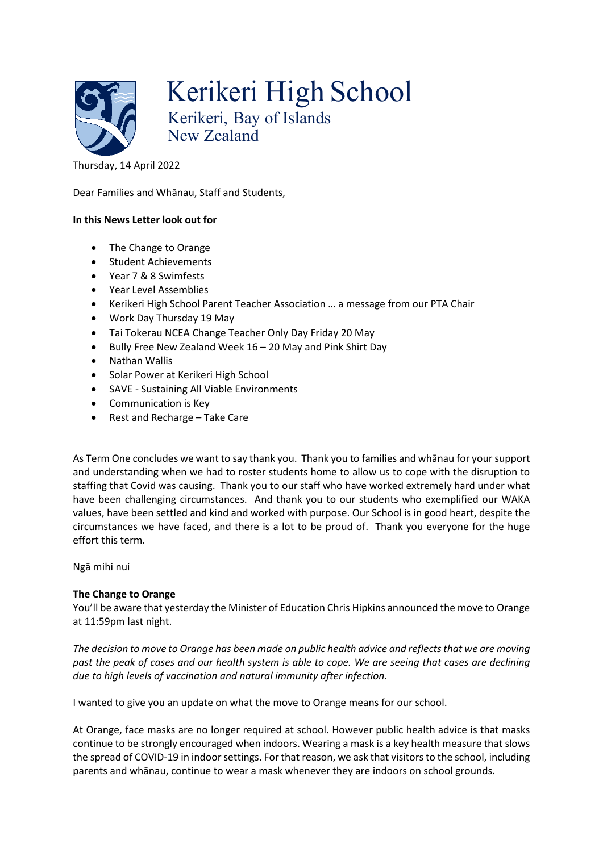

Kerikeri High School Kerikeri, Bay of Islands New Zealand

## Thursday, 14 April 2022

Dear Families and Whānau, Staff and Students,

### **In this News Letter look out for**

- The Change to Orange
- Student Achievements
- Year 7 & 8 Swimfests
- Year Level Assemblies
- Kerikeri High School Parent Teacher Association … a message from our PTA Chair
- Work Day Thursday 19 May
- Tai Tokerau NCEA Change Teacher Only Day Friday 20 May
- Bully Free New Zealand Week 16 20 May and Pink Shirt Day
- Nathan Wallis
- Solar Power at Kerikeri High School
- SAVE Sustaining All Viable Environments
- Communication is Key
- Rest and Recharge Take Care

As Term One concludes we want to say thank you. Thank you to families and whānau for your support and understanding when we had to roster students home to allow us to cope with the disruption to staffing that Covid was causing. Thank you to our staff who have worked extremely hard under what have been challenging circumstances. And thank you to our students who exemplified our WAKA values, have been settled and kind and worked with purpose. Our School is in good heart, despite the circumstances we have faced, and there is a lot to be proud of. Thank you everyone for the huge effort this term.

Ngā mihi nui

# **The Change to Orange**

You'll be aware that yesterday the Minister of Education Chris Hipkins announced the move to Orange at 11:59pm last night.

*The decision to move to Orange has been made on public health advice and reflects that we are moving past the peak of cases and our health system is able to cope. We are seeing that cases are declining due to high levels of vaccination and natural immunity after infection.* 

I wanted to give you an update on what the move to Orange means for our school.

At Orange, face masks are no longer required at school. However public health advice is that masks continue to be strongly encouraged when indoors. Wearing a mask is a key health measure that slows the spread of COVID-19 in indoor settings. For that reason, we ask that visitors to the school, including parents and whānau, continue to wear a mask whenever they are indoors on school grounds.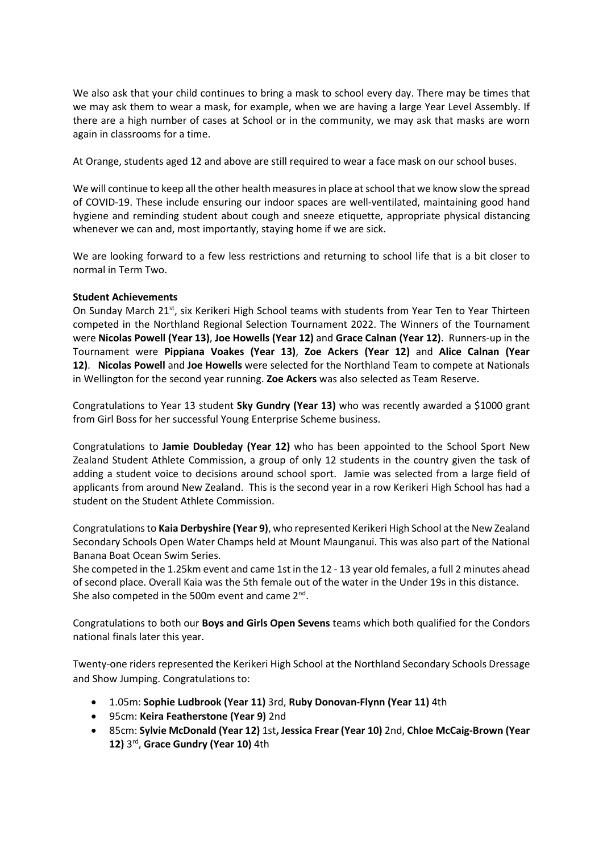We also ask that your child continues to bring a mask to school every day. There may be times that we may ask them to wear a mask, for example, when we are having a large Year Level Assembly. If there are a high number of cases at School or in the community, we may ask that masks are worn again in classrooms for a time.

At Orange, students aged 12 and above are still required to wear a face mask on our school buses.

We will continue to keep all the other health measures in place at school that we know slow the spread of COVID-19. These include ensuring our indoor spaces are well-ventilated, maintaining good hand hygiene and reminding student about cough and sneeze etiquette, appropriate physical distancing whenever we can and, most importantly, staying home if we are sick.

We are looking forward to a few less restrictions and returning to school life that is a bit closer to normal in Term Two.

### **Student Achievements**

On Sunday March 21<sup>st</sup>, six Kerikeri High School teams with students from Year Ten to Year Thirteen competed in the Northland Regional Selection Tournament 2022. The Winners of the Tournament were **Nicolas Powell (Year 13)**, **Joe Howells (Year 12)** and **Grace Calnan (Year 12)**. Runners-up in the Tournament were **Pippiana Voakes (Year 13)**, **Zoe Ackers (Year 12)** and **Alice Calnan (Year 12)**. **Nicolas Powell** and **Joe Howells** were selected for the Northland Team to compete at Nationals in Wellington for the second year running. **Zoe Ackers** was also selected as Team Reserve.

Congratulations to Year 13 student **Sky Gundry (Year 13)** who was recently awarded a \$1000 grant from Girl Boss for her successful Young Enterprise Scheme business.

Congratulations to **Jamie Doubleday (Year 12)** who has been appointed to the School Sport New Zealand Student Athlete Commission, a group of only 12 students in the country given the task of adding a student voice to decisions around school sport. Jamie was selected from a large field of applicants from around New Zealand. This is the second year in a row Kerikeri High School has had a student on the Student Athlete Commission.

Congratulations to **Kaia Derbyshire (Year 9)**, who represented Kerikeri High School at the New Zealand Secondary Schools Open Water Champs held at Mount Maunganui. This was also part of the National Banana Boat Ocean Swim Series.

She competed in the 1.25km event and came 1st in the 12 - 13 year old females, a full 2 minutes ahead of second place. Overall Kaia was the 5th female out of the water in the Under 19s in this distance. She also competed in the 500m event and came 2<sup>nd</sup>.

Congratulations to both our **Boys and Girls Open Sevens** teams which both qualified for the Condors national finals later this year.

Twenty-one riders represented the Kerikeri High School at the Northland Secondary Schools Dressage and Show Jumping. Congratulations to:

- 1.05m: **Sophie Ludbrook (Year 11)** 3rd, **Ruby Donovan-Flynn (Year 11)** 4th
- 95cm: **Keira Featherstone (Year 9)** 2nd
- 85cm: **Sylvie McDonald (Year 12)** 1st**, Jessica Frear (Year 10)** 2nd, **Chloe McCaig-Brown (Year 12)** 3rd, **Grace Gundry (Year 10)** 4th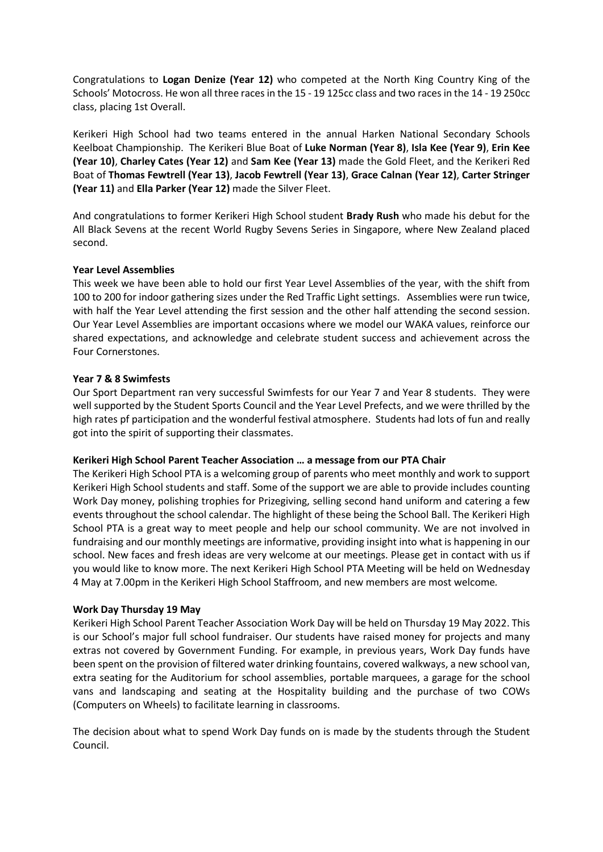Congratulations to **Logan Denize (Year 12)** who competed at the North King Country King of the Schools' Motocross. He won all three races in the 15 - 19 125cc class and two races in the 14 - 19 250cc class, placing 1st Overall.

Kerikeri High School had two teams entered in the annual Harken National Secondary Schools Keelboat Championship. The Kerikeri Blue Boat of **Luke Norman (Year 8)**, **Isla Kee (Year 9)**, **Erin Kee (Year 10)**, **Charley Cates (Year 12)** and **Sam Kee (Year 13)** made the Gold Fleet, and the Kerikeri Red Boat of **Thomas Fewtrell (Year 13)**, **Jacob Fewtrell (Year 13)**, **Grace Calnan (Year 12)**, **Carter Stringer (Year 11)** and **Ella Parker (Year 12)** made the Silver Fleet.

And congratulations to former Kerikeri High School student **Brady Rush** who made his debut for the All Black Sevens at the recent World Rugby Sevens Series in Singapore, where New Zealand placed second.

### **Year Level Assemblies**

This week we have been able to hold our first Year Level Assemblies of the year, with the shift from 100 to 200 for indoor gathering sizes under the Red Traffic Light settings. Assemblies were run twice, with half the Year Level attending the first session and the other half attending the second session. Our Year Level Assemblies are important occasions where we model our WAKA values, reinforce our shared expectations, and acknowledge and celebrate student success and achievement across the Four Cornerstones.

### **Year 7 & 8 Swimfests**

Our Sport Department ran very successful Swimfests for our Year 7 and Year 8 students. They were well supported by the Student Sports Council and the Year Level Prefects, and we were thrilled by the high rates pf participation and the wonderful festival atmosphere. Students had lots of fun and really got into the spirit of supporting their classmates.

### **Kerikeri High School Parent Teacher Association … a message from our PTA Chair**

The Kerikeri High School PTA is a welcoming group of parents who meet monthly and work to support Kerikeri High School students and staff. Some of the support we are able to provide includes counting Work Day money, polishing trophies for Prizegiving, selling second hand uniform and catering a few events throughout the school calendar. The highlight of these being the School Ball. The Kerikeri High School PTA is a great way to meet people and help our school community. We are not involved in fundraising and our monthly meetings are informative, providing insight into what is happening in our school. New faces and fresh ideas are very welcome at our meetings. Please get in contact with us if you would like to know more. The next Kerikeri High School PTA Meeting will be held on Wednesday 4 May at 7.00pm in the Kerikeri High School Staffroom, and new members are most welcome*.* 

### **Work Day Thursday 19 May**

Kerikeri High School Parent Teacher Association Work Day will be held on Thursday 19 May 2022. This is our School's major full school fundraiser. Our students have raised money for projects and many extras not covered by Government Funding. For example, in previous years, Work Day funds have been spent on the provision of filtered water drinking fountains, covered walkways, a new school van, extra seating for the Auditorium for school assemblies, portable marquees, a garage for the school vans and landscaping and seating at the Hospitality building and the purchase of two COWs (Computers on Wheels) to facilitate learning in classrooms.

The decision about what to spend Work Day funds on is made by the students through the Student Council.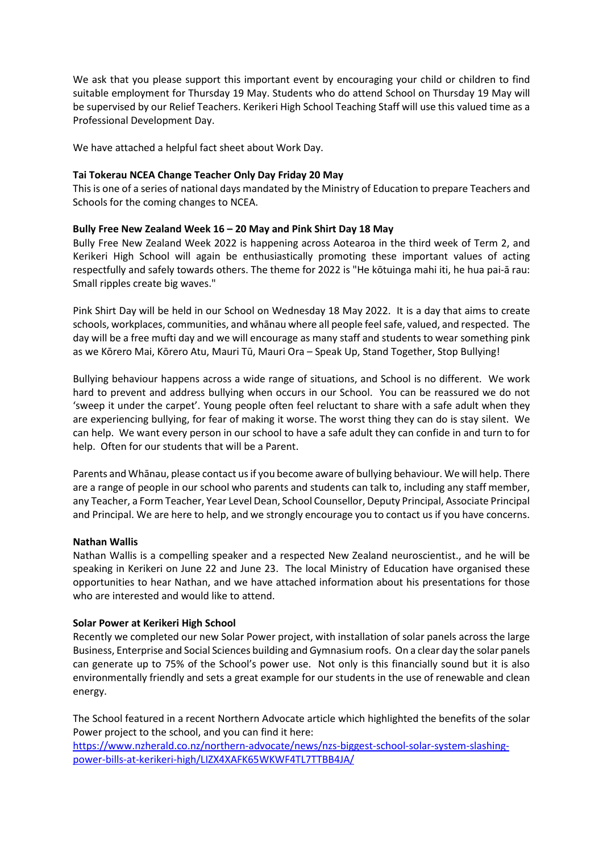We ask that you please support this important event by encouraging your child or children to find suitable employment for Thursday 19 May. Students who do attend School on Thursday 19 May will be supervised by our Relief Teachers. Kerikeri High School Teaching Staff will use this valued time as a Professional Development Day.

We have attached a helpful fact sheet about Work Day.

### **Tai Tokerau NCEA Change Teacher Only Day Friday 20 May**

This is one of a series of national days mandated by the Ministry of Education to prepare Teachers and Schools for the coming changes to NCEA.

### **Bully Free New Zealand Week 16 – 20 May and Pink Shirt Day 18 May**

Bully Free New Zealand Week 2022 is happening across Aotearoa in the third week of Term 2, and Kerikeri High School will again be enthusiastically promoting these important values of acting respectfully and safely towards others. The theme for 2022 is "He kōtuinga mahi iti, he hua pai-ā rau: Small ripples create big waves."

Pink [Shirt](https://www.pinkshirtday.org.nz/) Day will be held in our School on Wednesday 18 May 2022. It is a day that aims to create schools, workplaces, communities, and whānau where all people feel safe, valued, and respected. The day will be a free mufti day and we will encourage as many staff and students to wear something pink as we Kōrero Mai, Kōrero Atu, Mauri Tū, Mauri Ora – Speak Up, Stand Together, Stop Bullying!

Bullying behaviour happens across a wide range of situations, and School is no different. We work hard to prevent and address bullying when occurs in our School. You can be reassured we do not 'sweep it under the carpet'. Young people often feel reluctant to share with a safe adult when they are experiencing bullying, for fear of making it worse. The worst thing they can do is stay silent. We can help. We want every person in our school to have a safe adult they can confide in and turn to for help. Often for our students that will be a Parent.

Parents and Whānau, please contact us if you become aware of bullying behaviour. We will help. There are a range of people in our school who parents and students can talk to, including any staff member, any Teacher, a Form Teacher, Year Level Dean, School Counsellor, Deputy Principal, Associate Principal and Principal. We are here to help, and we strongly encourage you to contact us if you have concerns.

#### **Nathan Wallis**

Nathan Wallis is a compelling speaker and a respected New Zealand neuroscientist., and he will be speaking in Kerikeri on June 22 and June 23. The local Ministry of Education have organised these opportunities to hear Nathan, and we have attached information about his presentations for those who are interested and would like to attend.

#### **Solar Power at Kerikeri High School**

Recently we completed our new Solar Power project, with installation of solar panels across the large Business, Enterprise and Social Sciences building and Gymnasium roofs. On a clear day the solar panels can generate up to 75% of the School's power use. Not only is this financially sound but it is also environmentally friendly and sets a great example for our students in the use of renewable and clean energy.

The School featured in a recent Northern Advocate article which highlighted the benefits of the solar Power project to the school, and you can find it here:

[https://www.nzherald.co.nz/northern](https://www.nzherald.co.nz/northern-advocate/news/nzs-biggest-school-solar-system-slashing-power-bills-at-kerikeri-high/LIZX4XAFK65WKWF4TL7TTBB4JA/)-advocate/news/nzs-biggest-school-solar-system-slashingpower-bills-at-kerikeri-[high/LIZX4XAFK65WKWF4TL7TTBB4JA/](https://www.nzherald.co.nz/northern-advocate/news/nzs-biggest-school-solar-system-slashing-power-bills-at-kerikeri-high/LIZX4XAFK65WKWF4TL7TTBB4JA/)